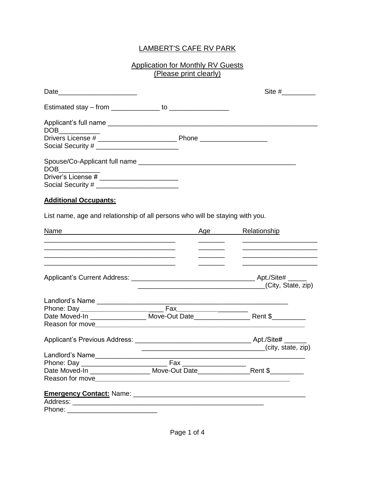#### Application for Monthly RV Guests (Please print clearly)

| Social Security # ___________________________                                                                                                                                                                                                 |             |                                                                                                                                                                                                                                                |
|-----------------------------------------------------------------------------------------------------------------------------------------------------------------------------------------------------------------------------------------------|-------------|------------------------------------------------------------------------------------------------------------------------------------------------------------------------------------------------------------------------------------------------|
|                                                                                                                                                                                                                                               |             |                                                                                                                                                                                                                                                |
|                                                                                                                                                                                                                                               |             |                                                                                                                                                                                                                                                |
| <b>Additional Occupants:</b>                                                                                                                                                                                                                  |             |                                                                                                                                                                                                                                                |
| List name, age and relationship of all persons who will be staying with you.                                                                                                                                                                  |             |                                                                                                                                                                                                                                                |
|                                                                                                                                                                                                                                               | Age _______ | Relationship                                                                                                                                                                                                                                   |
| <u> 1989 - Johann John Harry Harry Harry Harry Harry Harry Harry Harry Harry Harry Harry Harry Harry Harry Harry</u>                                                                                                                          |             |                                                                                                                                                                                                                                                |
| <u> 1989 - Johann Barn, mars ann an t-Amhain ann an t-Amhain ann an t-Amhain ann an t-Amhain an t-Amhain an t-Amh</u><br><u> 1989 - Jan James James James James James James James James James James James James James James James James J</u> |             | <u> Listen de la contrada de la contrada de la contrada de la contrada de la contrada de la contrada de la contra</u><br><u> 1989 - Johann Barbara, martin amerikan basar dan berasal dalam basar dalam basar dalam basar dalam basar dala</u> |
|                                                                                                                                                                                                                                               |             | (City, State, zip)                                                                                                                                                                                                                             |
|                                                                                                                                                                                                                                               |             |                                                                                                                                                                                                                                                |
|                                                                                                                                                                                                                                               |             |                                                                                                                                                                                                                                                |
|                                                                                                                                                                                                                                               |             |                                                                                                                                                                                                                                                |
|                                                                                                                                                                                                                                               |             |                                                                                                                                                                                                                                                |
|                                                                                                                                                                                                                                               |             |                                                                                                                                                                                                                                                |
|                                                                                                                                                                                                                                               |             |                                                                                                                                                                                                                                                |
|                                                                                                                                                                                                                                               |             |                                                                                                                                                                                                                                                |
| Date Moved-In ____________________ Move-Out Date_________________________________                                                                                                                                                             |             |                                                                                                                                                                                                                                                |
|                                                                                                                                                                                                                                               |             |                                                                                                                                                                                                                                                |
|                                                                                                                                                                                                                                               |             |                                                                                                                                                                                                                                                |
|                                                                                                                                                                                                                                               |             |                                                                                                                                                                                                                                                |
|                                                                                                                                                                                                                                               |             |                                                                                                                                                                                                                                                |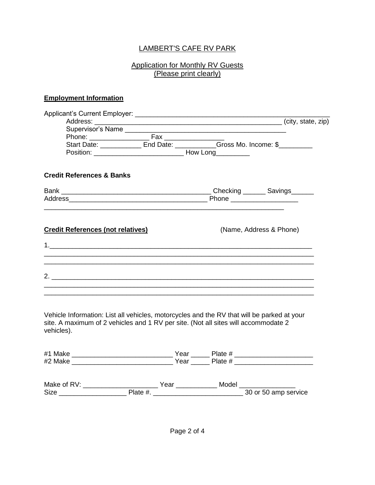#### Application for Monthly RV Guests (Please print clearly)

# **Employment Information**

|                                                                                                                                                                                                |                                                                                  | Address: (a) and the contract of the contract of the contract of the contract of the contract of the contract of the contract of the contract of the contract of the contract of the contract of the contract of the contract |
|------------------------------------------------------------------------------------------------------------------------------------------------------------------------------------------------|----------------------------------------------------------------------------------|-------------------------------------------------------------------------------------------------------------------------------------------------------------------------------------------------------------------------------|
|                                                                                                                                                                                                |                                                                                  |                                                                                                                                                                                                                               |
|                                                                                                                                                                                                | Start Date: _______________ End Date: ___________Gross Mo. Income: \$___________ |                                                                                                                                                                                                                               |
|                                                                                                                                                                                                |                                                                                  |                                                                                                                                                                                                                               |
| <b>Credit References &amp; Banks</b>                                                                                                                                                           |                                                                                  |                                                                                                                                                                                                                               |
|                                                                                                                                                                                                |                                                                                  |                                                                                                                                                                                                                               |
|                                                                                                                                                                                                |                                                                                  |                                                                                                                                                                                                                               |
| <b>Credit References (not relatives)</b>                                                                                                                                                       |                                                                                  | (Name, Address & Phone)                                                                                                                                                                                                       |
|                                                                                                                                                                                                |                                                                                  |                                                                                                                                                                                                                               |
|                                                                                                                                                                                                |                                                                                  |                                                                                                                                                                                                                               |
| Vehicle Information: List all vehicles, motorcycles and the RV that will be parked at your<br>site. A maximum of 2 vehicles and 1 RV per site. (Not all sites will accommodate 2<br>vehicles). |                                                                                  |                                                                                                                                                                                                                               |
|                                                                                                                                                                                                |                                                                                  |                                                                                                                                                                                                                               |
|                                                                                                                                                                                                |                                                                                  |                                                                                                                                                                                                                               |
|                                                                                                                                                                                                |                                                                                  |                                                                                                                                                                                                                               |
|                                                                                                                                                                                                |                                                                                  |                                                                                                                                                                                                                               |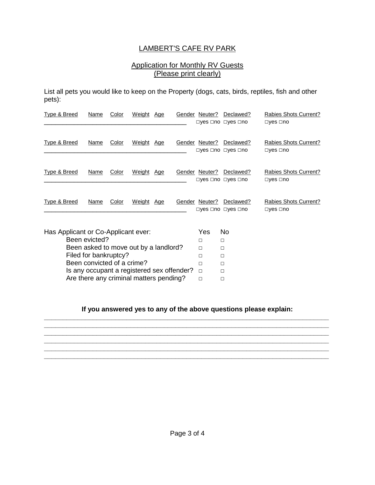### Application for Monthly RV Guests (Please print clearly)

List all pets you would like to keep on the Property (dogs, cats, birds, reptiles, fish and other pets):

| <u>Type &amp; Breed</u>             | Name                                                                            | Color | Weight | Age        |        | Gender Neuter?          | Declawed?<br>$\Box$ yes $\Box$ no $\Box$ yes $\Box$ no | <b>Rabies Shots Current?</b><br>$\square$ yes $\square$ no |
|-------------------------------------|---------------------------------------------------------------------------------|-------|--------|------------|--------|-------------------------|--------------------------------------------------------|------------------------------------------------------------|
| <u>Type &amp; Breed</u>             | Name                                                                            | Color | Weight | <u>Age</u> | Gender | Neuter?                 | Declawed?<br>$\Box$ yes $\Box$ no $\Box$ yes $\Box$ no | <b>Rabies Shots Current?</b><br>$\square$ yes $\square$ no |
| Type & Breed                        | Name                                                                            | Color | Weight | Age        |        | Gender Neuter?          | Declawed?<br>$\Box$ yes $\Box$ no $\Box$ yes $\Box$ no | Rabies Shots Current?<br>$\square$ yes $\square$ no        |
| Type & Breed                        | Name                                                                            | Color | Weight | Age        |        | Gender Neuter?          | Declawed?<br>$\Box$ yes $\Box$ no $\Box$ yes $\Box$ no | Rabies Shots Current?<br>$\square$ yes $\square$ no        |
| Has Applicant or Co-Applicant ever: | Been evicted?<br>Been asked to move out by a landlord?<br>Filed for bankruptcy? |       |        |            |        | Yes<br>□<br>$\Box$<br>П | No<br>$\Box$<br>$\Box$<br>$\Box$                       |                                                            |

| Filed for Darikruptcy?                            |   |
|---------------------------------------------------|---|
| Been convicted of a crime?                        | п |
| Is any occupant a registered sex offender? $\Box$ | п |
| Are there any criminal matters pending?           | П |
|                                                   |   |

#### **If you answered yes to any of the above questions please explain: \_\_\_\_\_\_\_\_\_\_\_\_\_\_\_\_\_\_\_\_\_\_\_\_\_\_\_\_\_\_\_\_\_\_\_\_\_\_\_\_\_\_\_\_\_\_\_\_\_\_\_\_\_\_\_\_\_\_\_\_\_\_\_\_\_\_\_\_\_\_\_\_\_\_\_\_**

**\_\_\_\_\_\_\_\_\_\_\_\_\_\_\_\_\_\_\_\_\_\_\_\_\_\_\_\_\_\_\_\_\_\_\_\_\_\_\_\_\_\_\_\_\_\_\_\_\_\_\_\_\_\_\_\_\_\_\_\_\_\_\_\_\_\_\_\_\_\_\_\_\_\_\_\_**